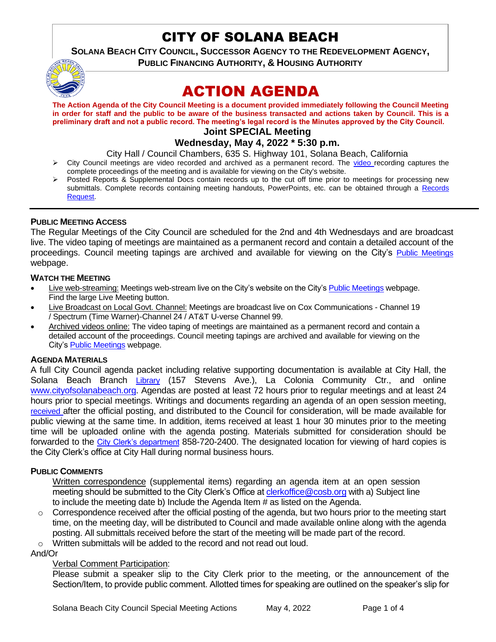# CITY OF SOLANA BEACH

**SOLANA BEACH CITY COUNCIL, SUCCESSOR AGENCY TO THE REDEVELOPMENT AGENCY,**

**PUBLIC FINANCING AUTHORITY, & HOUSING AUTHORITY** 



# ACTION AGENDA

**The Action Agenda of the City Council Meeting is a document provided immediately following the Council Meeting in order for staff and the public to be aware of the business transacted and actions taken by Council. This is a preliminary draft and not a public record. The meeting's legal record is the Minutes approved by the City Council.**

# **Joint SPECIAL Meeting**

# **Wednesday, May 4, 2022 \* 5:30 p.m.**

City Hall / Council Chambers, 635 S. Highway 101, Solana Beach, California

- ➢ City Council meetings are video recorded and archived as a permanent record. The [video r](https://solanabeach.12milesout.com/#page=1)ecording captures the complete proceedings of the meeting and is available for viewing on the City's website.
- Posted Reports & Supplemental Docs contain records up to the cut off time prior to meetings for processing new submittals. Complete records containing meeting handouts, PowerPoints, etc. can be obtained through a Records [Request.](http://www.ci.solana-beach.ca.us/index.asp?SEC=F5D45D10-70CE-4291-A27C-7BD633FC6742&Type=B_BASIC)

#### **PUBLIC MEETING ACCESS**

The Regular Meetings of the City Council are scheduled for the 2nd and 4th Wednesdays and are broadcast live. The video taping of meetings are maintained as a permanent record and contain a detailed account of the proceedings. Council meeting tapings are archived and available for viewing on the City's [Public Meetings](https://www.ci.solana-beach.ca.us/index.asp?SEC=F0F1200D-21C6-4A88-8AE1-0BC07C1A81A7&Type=B_BASIC) webpage.

#### **WATCH THE MEETING**

- Live web-streaming: Meetings web-stream live on the City's website on the City's [Public Meetings](https://urldefense.proofpoint.com/v2/url?u=https-3A__www.ci.solana-2Dbeach.ca.us_index.asp-3FSEC-3DF0F1200D-2D21C6-2D4A88-2D8AE1-2D0BC07C1A81A7-26Type-3DB-5FBASIC&d=DwMFAg&c=euGZstcaTDllvimEN8b7jXrwqOf-v5A_CdpgnVfiiMM&r=1XAsCUuqwK_tji2t0s1uIQ&m=wny2RVfZJ2tN24LkqZmkUWNpwL_peNtTZUBlTBZiMM4&s=WwpcEQpHHkFen6nS6q2waMuQ_VMZ-i1YZ60lD-dYRRE&e=) webpage. Find the large Live Meeting button.
- Live Broadcast on Local Govt. Channel: Meetings are broadcast live on Cox Communications Channel 19 / Spectrum (Time Warner)-Channel 24 / AT&T U-verse Channel 99.
- Archived videos online: The video taping of meetings are maintained as a permanent record and contain a detailed account of the proceedings. Council meeting tapings are archived and available for viewing on the City's **Public Meetings** webpage.

### **AGENDA MATERIALS**

A full City Council agenda packet including relative supporting documentation is available at City Hall, the Solana Beach Branch [Library](http://www.sdcl.org/locations_SB.html) (157 Stevens Ave.), La Colonia Community Ctr., and online [www.cityofsolanabeach.org.](http://www.cityofsolanabeach.org/) Agendas are posted at least 72 hours prior to regular meetings and at least 24 hours prior to special meetings. Writings and documents regarding an agenda of an open session meeting, [received](mailto:EMAILGRP-CityClerksOfc@cosb.org) after the official posting, and distributed to the Council for consideration, will be made available for public viewing at the same time. In addition, items received at least 1 hour 30 minutes prior to the meeting time will be uploaded online with the agenda posting. Materials submitted for consideration should be forwarded to the [City Clerk's department](mailto:clerkoffice@cosb.org) 858-720-2400. The designated location for viewing of hard copies is the City Clerk's office at City Hall during normal business hours.

### **PUBLIC COMMENTS**

Written correspondence (supplemental items) regarding an agenda item at an open session meeting should be submitted to the City Clerk's Office at [clerkoffice@cosb.org](mailto:clerkoffice@cosb.org) with a) Subject line to include the meeting date b) Include the Agenda Item # as listed on the Agenda.

- o Correspondence received after the official posting of the agenda, but two hours prior to the meeting start time, on the meeting day, will be distributed to Council and made available online along with the agenda posting. All submittals received before the start of the meeting will be made part of the record.
- o Written submittals will be added to the record and not read out loud.

And/Or

### Verbal Comment Participation:

Please submit a speaker slip to the City Clerk prior to the meeting, or the announcement of the Section/Item, to provide public comment. Allotted times for speaking are outlined on the speaker's slip for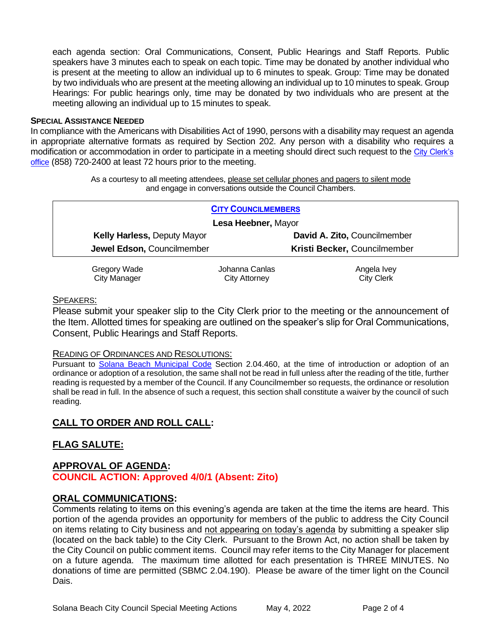each agenda section: Oral Communications, Consent, Public Hearings and Staff Reports. Public speakers have 3 minutes each to speak on each topic. Time may be donated by another individual who is present at the meeting to allow an individual up to 6 minutes to speak. Group: Time may be donated by two individuals who are present at the meeting allowing an individual up to 10 minutes to speak. Group Hearings: For public hearings only, time may be donated by two individuals who are present at the meeting allowing an individual up to 15 minutes to speak.

#### **SPECIAL ASSISTANCE NEEDED**

In compliance with the Americans with Disabilities Act of 1990, persons with a disability may request an agenda in appropriate alternative formats as required by Section 202. Any person with a disability who requires a modification or accommodation in order to participate in a meeting should direct such request to the [City Clerk's](mailto:clerkadmin@cosb.org?subject=City%20Clerk%20Notice%20of%20Special%20Services%20Needed)  [office](mailto:clerkadmin@cosb.org?subject=City%20Clerk%20Notice%20of%20Special%20Services%20Needed) (858) 720-2400 at least 72 hours prior to the meeting.

> As a courtesy to all meeting attendees, please set cellular phones and pagers to silent mode and engage in conversations outside the Council Chambers.

| <b>CITY COUNCILMEMBERS</b>         |                |                              |
|------------------------------------|----------------|------------------------------|
| Lesa Heebner, Mayor                |                |                              |
| <b>Kelly Harless, Deputy Mayor</b> |                | David A. Zito, Councilmember |
| Jewel Edson, Councilmember         |                | Kristi Becker, Councilmember |
| Gregory Wade                       | Iohanna Canlas | Angela Ivev                  |

Gregory Wade City Manager

Johanna Canlas City Attorney

Angela Ivey City Clerk

### SPEAKERS:

Please submit your speaker slip to the City Clerk prior to the meeting or the announcement of the Item. Allotted times for speaking are outlined on the speaker's slip for Oral Communications, Consent, Public Hearings and Staff Reports.

### READING OF ORDINANCES AND RESOLUTIONS:

Pursuant to [Solana Beach Municipal Code](mailto:https://www.codepublishing.com/CA/SolanaBeach/) Section 2.04.460, at the time of introduction or adoption of an ordinance or adoption of a resolution, the same shall not be read in full unless after the reading of the title, further reading is requested by a member of the Council. If any Councilmember so requests, the ordinance or resolution shall be read in full. In the absence of such a request, this section shall constitute a waiver by the council of such reading.

# **CALL TO ORDER AND ROLL CALL:**

# **FLAG SALUTE:**

# **APPROVAL OF AGENDA:**

**COUNCIL ACTION: Approved 4/0/1 (Absent: Zito)**

## **ORAL COMMUNICATIONS:**

Comments relating to items on this evening's agenda are taken at the time the items are heard. This portion of the agenda provides an opportunity for members of the public to address the City Council on items relating to City business and not appearing on today's agenda by submitting a speaker slip (located on the back table) to the City Clerk. Pursuant to the Brown Act, no action shall be taken by the City Council on public comment items. Council may refer items to the City Manager for placement on a future agenda. The maximum time allotted for each presentation is THREE MINUTES. No donations of time are permitted (SBMC 2.04.190). Please be aware of the timer light on the Council Dais.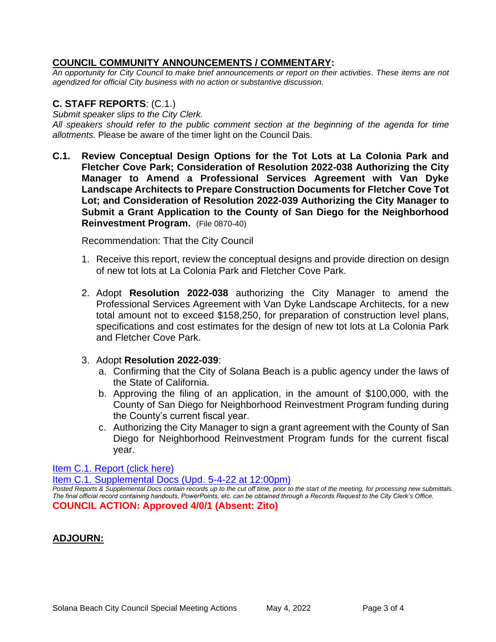## **COUNCIL COMMUNITY ANNOUNCEMENTS / COMMENTARY:**

*An opportunity for City Council to make brief announcements or report on their activities. These items are not agendized for official City business with no action or substantive discussion.* 

# **C. STAFF REPORTS**: (C.1.)

*Submit speaker slips to the City Clerk.*

*All speakers should refer to the public comment section at the beginning of the agenda for time allotments.* Please be aware of the timer light on the Council Dais.

**C.1. Review Conceptual Design Options for the Tot Lots at La Colonia Park and Fletcher Cove Park; Consideration of Resolution 2022-038 Authorizing the City Manager to Amend a Professional Services Agreement with Van Dyke Landscape Architects to Prepare Construction Documents for Fletcher Cove Tot Lot; and Consideration of Resolution 2022-039 Authorizing the City Manager to Submit a Grant Application to the County of San Diego for the Neighborhood Reinvestment Program.** (File 0870-40)

Recommendation: That the City Council

- 1. Receive this report, review the conceptual designs and provide direction on design of new tot lots at La Colonia Park and Fletcher Cove Park.
- 2. Adopt **Resolution 2022-038** authorizing the City Manager to amend the Professional Services Agreement with Van Dyke Landscape Architects, for a new total amount not to exceed \$158,250, for preparation of construction level plans, specifications and cost estimates for the design of new tot lots at La Colonia Park and Fletcher Cove Park.

## 3. Adopt **Resolution 2022-039**:

- a. Confirming that the City of Solana Beach is a public agency under the laws of the State of California.
- b. Approving the filing of an application, in the amount of \$100,000, with the County of San Diego for Neighborhood Reinvestment Program funding during the County's current fiscal year.
- c. Authorizing the City Manager to sign a grant agreement with the County of San Diego for Neighborhood Reinvestment Program funds for the current fiscal year.

## [Item C.1. Report \(click here\)](https://solanabeach.govoffice3.com/vertical/Sites/%7B840804C2-F869-4904-9AE3-720581350CE7%7D/uploads/Item_C.1._Report_(click_here)_05-04-22_-_O.pdf)

[Item C.1. Supplemental Docs \(Upd.](https://solanabeach.govoffice3.com/vertical/Sites/%7B840804C2-F869-4904-9AE3-720581350CE7%7D/uploads/C1_Supp_Items_(5-4_at_1130am)_-_O.pdf) 5-4-22 at 12:00pm)

*Posted Reports & Supplemental Docs contain records up to the cut off time, prior to the start of the meeting, for processing new submittals. The final official record containing handouts, PowerPoints, etc. can be obtained through a Records Request to the City Clerk's Office.* **COUNCIL ACTION: Approved 4/0/1 (Absent: Zito)**

# **ADJOURN:**